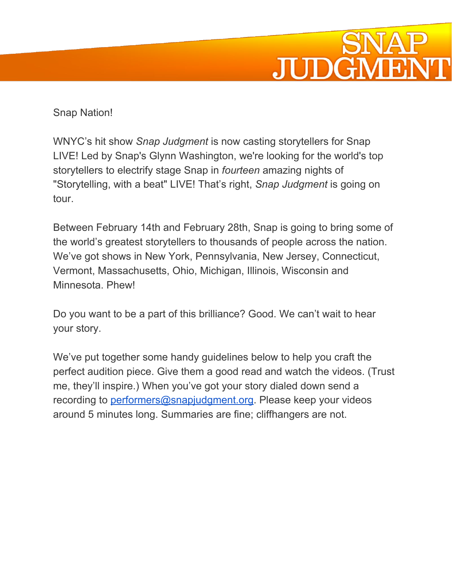

## Snap Nation!

WNYC's hit show *Snap Judgment* is now casting storytellers for Snap LIVE! Led by Snap's Glynn Washington, we're looking for the world's top storytellers to electrify stage Snap in *fourteen* amazing nights of "Storytelling, with a beat" LIVE! That's right, *Snap Judgment* is going on tour.

Between February 14th and February 28th, Snap is going to bring some of the world's greatest storytellers to thousands of people across the nation. We've got shows in New York, Pennsylvania, New Jersey, Connecticut, Vermont, Massachusetts, Ohio, Michigan, Illinois, Wisconsin and Minnesota. Phew!

Do you want to be a part of this brilliance? Good. We can't wait to hear your story.

We've put together some handy guidelines below to help you craft the perfect audition piece. Give them a good read and watch the videos. (Trust me, they'll inspire.) When you've got your story dialed down send a recording to [performers@snapjudgment.org.](mailto:performers@snapjudgment.org) Please keep your videos around 5 minutes long. Summaries are fine; cliffhangers are not.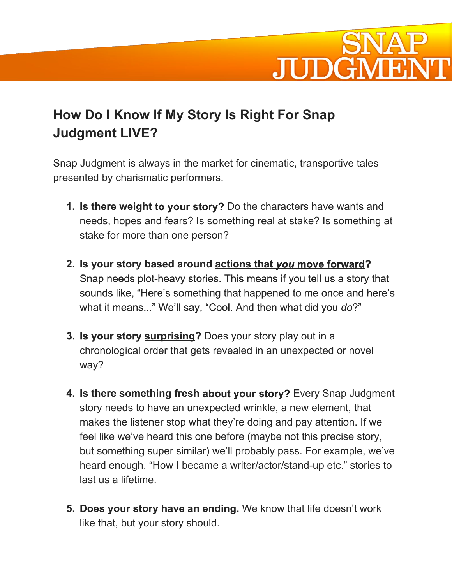

## **How Do I Know If My Story Is Right For Snap Judgment LIVE?**

Snap Judgment is always in the market for cinematic, transportive tales presented by charismatic performers.

- **1. Is there weight to your story?**Do the characters have wants and needs, hopes and fears? Is something real at stake? Is something at stake for more than one person?
- **2. Is your story based around actions that** *you***move forward?** Snap needs plot-heavy stories. This means if you tell us a story that sounds like, "Here's something that happened to me once and here's what it means..." We'll say, "Cool. And then what did you *do*?"
- **3. Is your story surprising?** Does your story play out in a chronological order that gets revealed in an unexpected or novel way?
- **4. Is there something fresh about your story?** Every Snap Judgment story needs to have an unexpected wrinkle, a new element, that makes the listener stop what they're doing and pay attention. If we feel like we've heard this one before (maybe not this precise story, but something super similar) we'll probably pass. For example, we've heard enough, "How I became a writer/actor/stand-up etc." stories to last us a lifetime.
- **5. Does your story have an ending.**We know that life doesn't work like that, but your story should.